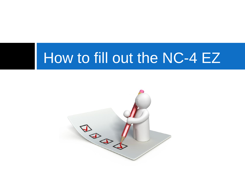### How to fill out the NC-4 EZ

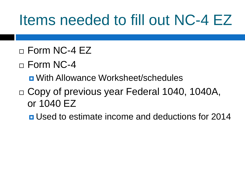### Items needed to fill out NC-4 EZ

- $\Box$  Form NC-4 EZ
- $\sqcap$  Form NC-4
	- With Allowance Worksheet/schedules
- □ Copy of previous year Federal 1040, 1040A, or 1040 EZ
	- **<u>E</u>** Used to estimate income and deductions for 2014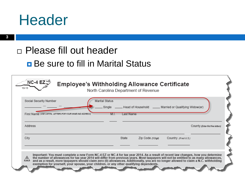#### **Header**

**3**

#### Please fill out header

#### **Be sure to fill in Marital Status**

| $NC-4$ $EZ$<br>10-13                                                  | <b>Employee's Withholding Allowance Certificate</b><br>North Carolina Department of Revenue                                                                                                                                                                                                                                                                                                                                                                                                                   |
|-----------------------------------------------------------------------|---------------------------------------------------------------------------------------------------------------------------------------------------------------------------------------------------------------------------------------------------------------------------------------------------------------------------------------------------------------------------------------------------------------------------------------------------------------------------------------------------------------|
| Social Security Number                                                | Marital Status<br>Single<br>. Head of Household _____ Married or Qualifying Widow(er)                                                                                                                                                                                                                                                                                                                                                                                                                         |
| First Name (USE CAPITAL LETTERS FOR YOUR NAME AND ADDRESS)<br>Address | Last Name<br>M.I.<br>County (Enter first five letters)                                                                                                                                                                                                                                                                                                                                                                                                                                                        |
| City                                                                  | State<br>Zip Code (5 Digit)<br>Country (If not U.S.)                                                                                                                                                                                                                                                                                                                                                                                                                                                          |
|                                                                       | Important: You must complete a new Form NC-4 EZ or NC-4 for tax year 2014. As a result of recent law changes, how you determine<br>the number of allowances for tax year 2014 will differ from previous years. Most taxpayers will not be entitled to as many allowances,<br>and as a result, more taxpayers should claim zero (0) allowances. Additionally, you are no longer allowed to claim a N.C. withholding<br>exemption for yourself, your spouse, your children, or any other qualifying dependents. |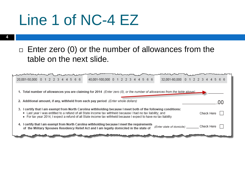### Line 1 of NC-4 EZ

#### $\Box$  Enter zero (0) or the number of allowances from the table on the next slide.

| 20,001-50,000 0 1 2 2 3 4 4 5 6 6                                                                                                                                                                                                                                                                                                                  | 40,001-100,000 0 1 2 2 3 4 4 5 6 6 |                           | 32,001-80,000 0 1 2 2 3 4 4 5 6 6 |  |
|----------------------------------------------------------------------------------------------------------------------------------------------------------------------------------------------------------------------------------------------------------------------------------------------------------------------------------------------------|------------------------------------|---------------------------|-----------------------------------|--|
| 1. Total number of allowances you are claiming for 2014 (Enter zero (0), or the number of allowances from the table above)                                                                                                                                                                                                                         |                                    |                           |                                   |  |
| 2. Additional amount, if any, withheld from each pay period (Enter whole dollars)                                                                                                                                                                                                                                                                  |                                    |                           |                                   |  |
| 3. I certify that I am exempt from North Carolina withholding because I meet both of the following conditions:<br>• Last year I was entitled to a refund of all State income tax withheld because I had no tax liability; and<br>• For tax year 2014, I expect a refund of all State income tax withheld because I expect to have no tax liability |                                    |                           | Check Here                        |  |
| 4. I certify that I am exempt from North Carolina withholding because I meet the requirements<br>of the Military Spouses Residency Relief Act and I am legally domiciled in the state of                                                                                                                                                           |                                    | (Enter state of domicile) | Check Here                        |  |
|                                                                                                                                                                                                                                                                                                                                                    |                                    |                           |                                   |  |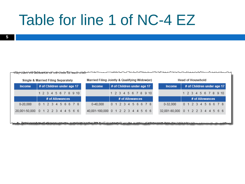### Table for line 1 of NC-4 EZ

| Single & Married Filing Separately |                            |                 |  | Married Filing Jointly & Qualifying Widow(er) |  |                                    |  |  |                            |  | <b>Head of Household</b> |                                   |  |  |                 |  |  |                            |
|------------------------------------|----------------------------|-----------------|--|-----------------------------------------------|--|------------------------------------|--|--|----------------------------|--|--------------------------|-----------------------------------|--|--|-----------------|--|--|----------------------------|
| <b>Income</b>                      | # of Children under age 17 |                 |  |                                               |  | <b>Income</b>                      |  |  | # of Children under age 17 |  |                          | <b>Income</b>                     |  |  |                 |  |  | # of Children under age 17 |
|                                    | 1 2 3 4 5 6 7 8 9 10       |                 |  |                                               |  |                                    |  |  | 1 2 3 4 5 6 7 8 9 10       |  |                          |                                   |  |  |                 |  |  | 1 2 3 4 5 6 7 8 9 10       |
|                                    |                            | # of Allowances |  |                                               |  |                                    |  |  | # of Allowances            |  |                          |                                   |  |  | # of Allowances |  |  |                            |
| $0 - 20.000$                       | 0 1 2 3 4 5 6 6 7 8        |                 |  |                                               |  | $0 - 40.000$                       |  |  | 0 1 2 3 4 5 6 6 7 8        |  |                          | $0 - 32.000$                      |  |  |                 |  |  | 0 1 2 3 4 5 6 6 7 8        |
| 20,001-50,000 0 1 2 2 3 4 4 5 6 6  |                            |                 |  |                                               |  | 40,001-100,000 0 1 2 2 3 4 4 5 6 6 |  |  |                            |  |                          | 32,001-80,000 0 1 2 2 3 4 4 5 6 6 |  |  |                 |  |  |                            |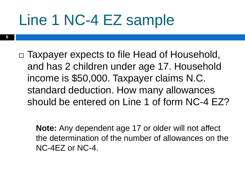### Line 1 NC-4 EZ sample

□ Taxpayer expects to file Head of Household, and has 2 children under age 17. Household income is \$50,000. Taxpayer claims N.C. standard deduction. How many allowances should be entered on Line 1 of form NC-4 EZ?

**Note:** Any dependent age 17 or older will not affect the determination of the number of allowances on the NC-4EZ or NC-4.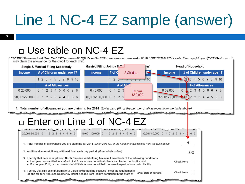## Line 1 NC-4 EZ sample (answer)

**7**

#### □ Use table on NC-4 EZ

|               | Single & Married Filing Separately | Married Filing Jointly &                                                                                                                                                                                                                                                                                                                           | (er)                                     | <b>Head of Household</b>                                                                                                   |                            |
|---------------|------------------------------------|----------------------------------------------------------------------------------------------------------------------------------------------------------------------------------------------------------------------------------------------------------------------------------------------------------------------------------------------------|------------------------------------------|----------------------------------------------------------------------------------------------------------------------------|----------------------------|
| <b>Income</b> | # of Children under age 17         | # of $C$<br><b>Income</b>                                                                                                                                                                                                                                                                                                                          | 2 Children                               | Income                                                                                                                     | # of Children under age 17 |
|               | 1 2 3 4 5 6 7 8 9 10               |                                                                                                                                                                                                                                                                                                                                                    | $1 \t3 \t3 \t4 \t5 \t6 \t7 \t8 \t9 \t10$ | 4 5                                                                                                                        | - 6<br>7 8 9 10            |
|               | # of Allowances                    | # of All                                                                                                                                                                                                                                                                                                                                           |                                          |                                                                                                                            | # of Allowances            |
| $0 - 20,000$  | 0 1 2 3 4 5 6 6 7 8                | $0-40,000$<br>$0 \t1 \t2 \t3$                                                                                                                                                                                                                                                                                                                      | Income                                   | 0-32,000                                                                                                                   | 0 123456678                |
|               | 20,001-50,000 0 1 2 2 3 4 4 5 6 6  | 40,001-100,000 0 1 2 2                                                                                                                                                                                                                                                                                                                             | \$50,000                                 | $32,001-80,000$ $(1)$ 2 2 3 4 4 5 6 6                                                                                      |                            |
|               |                                    | □ Enter on Line 1 of NC-4 EZ                                                                                                                                                                                                                                                                                                                       |                                          | 1. Total number of allowances you are claiming for 2014 (Enter zero (0), or the number of allowances from the table above) |                            |
|               | 20.001-50.000 0 1 2 2 3 4 4 5 6 6  | 40.001-100.000 0 1 2 2 3 4 4 5 6 6                                                                                                                                                                                                                                                                                                                 |                                          | 32.001-80.000 0 1 2 2 3                                                                                                    |                            |
|               |                                    | 1. Total number of allowances you are claiming for 2014 (Enter zero (0), or the number of allowances from the table above)                                                                                                                                                                                                                         |                                          |                                                                                                                            |                            |
|               |                                    | 2. Additional amount, if any, withheld from each pay period (Enter whole dollars)                                                                                                                                                                                                                                                                  |                                          | .00                                                                                                                        |                            |
|               |                                    | 3. I certify that I am exempt from North Carolina withholding because I meet both of the following conditions:<br>• Last year I was entitled to a refund of all State income tax withheld because I had no tax liability; and<br>• For tax year 2014, I expect a refund of all State income tax withheld because I expect to have no tax liability |                                          | Check Here                                                                                                                 |                            |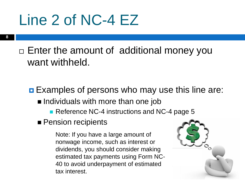### Line 2 of NC-4 EZ

 $\Box$  Enter the amount of additional money you want withheld.

**Examples of persons who may use this line are:**  $\blacksquare$  Individuals with more than one job

Reference NC-4 instructions and NC-4 page 5

**Pension recipients** 

Note: If you have a large amount of nonwage income, such as interest or dividends, you should consider making estimated tax payments using Form NC-40 to avoid underpayment of estimated tax interest.

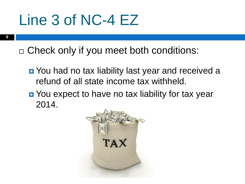### Line 3 of NC-4 EZ

**9**

□ Check only if you meet both conditions:

- **D** You had no tax liability last year and received a refund of all state income tax withheld.
- **D** You expect to have no tax liability for tax year 2014.

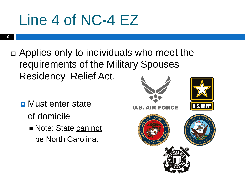## Line 4 of NC-4 EZ

**10**

- $\Box$  Applies only to individuals who meet the requirements of the Military Spouses Residency Relief Act.
	- **<u>n</u>** Must enter state of domicile Note: State can not be North Carolina.

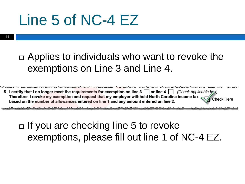### Line 5 of NC-4 EZ

 $\Box$  Applies to individuals who want to revoke the exemptions on Line 3 and Line 4.

|                                                                                       | 5. I certify that I no longer meet the requirements for exemption on line 3 $\Box$ or line 4 $\Box$ (Check applicable byx) |
|---------------------------------------------------------------------------------------|----------------------------------------------------------------------------------------------------------------------------|
|                                                                                       | Therefore, I revoke my exemption and request that my employer withhold North Carolina income tax $\sqrt{\ }$ Check Here    |
| based on the number of allowances entered on line 1 and any amount entered on line 2. |                                                                                                                            |

#### $\Box$  If you are checking line 5 to revoke exemptions, please fill out line 1 of NC-4 EZ.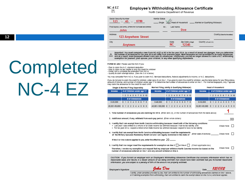

#### Employee's Withholding Allowance Certificate

North Carolina Department of Revenue

| Marital Status<br>Social Security Number<br>$123 - 45 - 6789$<br>Single                 | Head of Household ______ Married or Qualifying Widow(er)                                                                                                                                                                          |
|-----------------------------------------------------------------------------------------|-----------------------------------------------------------------------------------------------------------------------------------------------------------------------------------------------------------------------------------|
| First Name was overw. Letters for your wwe wo Acontasy<br>M.I.                          | Last Name                                                                                                                                                                                                                         |
| John                                                                                    | Doe                                                                                                                                                                                                                               |
| <b>Address</b><br>123 Anywhere Street                                                   | County (Enter first five letters)                                                                                                                                                                                                 |
| City<br>Anytown                                                                         | State<br>Zip Code (5Db0)<br>Country (Fred U.S.)<br>NС<br>12345                                                                                                                                                                    |
| exemption for yourself, your spouse, your children, or any other qualifying dependents. | Important: You must complete a new Form NC-4 EZ or NC-4 for tax year 2014. As a result of recent law changes, how you determine<br>the number of allowances for tax year 2014 will differ from previous years. Most taxpayers wil |

FORM NC-4EZ: Please use this form if you

- Plan to claim the N.C. standard deduction
- Plan to claim no tax credits or only the credit for children<br>- Prefer not to complete the extended Form NC-4
- 
- Qualify to claim exempt status (See line 3 or 4 below)

You may complete Form NC-4, if you plan to claim N.C. Itemized deductions, federal adjustments to income, or N.C. deductions.

If you do not plan to claim the credit for children, enter zero (0) on line 1. If you plan to claim the credit for children, use the table below for your filing status, amount of income, and number of children under age 17 to determine the number of allowances to enter on line 1. For married taxpayers, only 1 spouse may claim the allowance for the credit for each child.

|                      | Single & Married Filing Separately                                            | Married Filing Jointly & Qualifying Widow(er)                                                                                                                                                                                                                                                                                                                                                                                                                                                                                                  | Head of Household                                  |
|----------------------|-------------------------------------------------------------------------------|------------------------------------------------------------------------------------------------------------------------------------------------------------------------------------------------------------------------------------------------------------------------------------------------------------------------------------------------------------------------------------------------------------------------------------------------------------------------------------------------------------------------------------------------|----------------------------------------------------|
| <b>Income</b>        | # of Children under age 17                                                    | # of Children under age 17<br><b>Income</b>                                                                                                                                                                                                                                                                                                                                                                                                                                                                                                    | # of Children under age 17<br><b>Income</b>        |
|                      | 1 2 3 4 5 6 7 8 9 10                                                          | 1 2 3 4 5 6 7 8 9 10                                                                                                                                                                                                                                                                                                                                                                                                                                                                                                                           | 1 2 3 4 5 6 7 8 9 10                               |
|                      | # of Allowances                                                               | # of Allowances                                                                                                                                                                                                                                                                                                                                                                                                                                                                                                                                | # of Allowances                                    |
| $0 - 20.000$         | 0123456678                                                                    | $0 - 40.000$<br>0123456678                                                                                                                                                                                                                                                                                                                                                                                                                                                                                                                     | 0-32.000<br>0123456678                             |
|                      | 20.001-50.000 0 1 2 2 3 4 4 5 6 6                                             | 40.001-100.000 0 1 2 2 3 4 4 5 6 6                                                                                                                                                                                                                                                                                                                                                                                                                                                                                                             | 32,001-80,000 0 1 2 2 3 4 4 5 6 6                  |
|                      |                                                                               | 1. Total number of allowances you are claiming for 2014 (Enter zero (0), or the number of allowances from the table above)                                                                                                                                                                                                                                                                                                                                                                                                                     |                                                    |
|                      |                                                                               | 2. Additional amount, if any, withheld from each pay period (Enter whole dollars)                                                                                                                                                                                                                                                                                                                                                                                                                                                              | 00                                                 |
|                      |                                                                               | 3. I certify that I am exempt from North Carolina withholding because I meet both of the following conditions:<br>. Last year I was entitied to a refund of all State Income tax withheld because I had no tax liability; and<br>. For tax year 2014, I expect a refund of all State Income tax withheid because I expect to have no tax liability<br>4. I certify that I am exempt from North Carolina withholding because I meet the requirements<br>of the Military Spouses Residency Relief Act and I am legally domiclied in the state of | Check Here<br>(Enter state of domicile) Check Here |
|                      | If line 3 or line 4 above applies to you, enter the effective year $20$ _____ | 5. I certify that I no longer meet the requirements for exemption on line 3 or line 4 check applicable box)                                                                                                                                                                                                                                                                                                                                                                                                                                    |                                                    |
|                      |                                                                               | Therefore, I revoke my exemption and request that my employer withhold North Carolina income tax based on the<br>number of allowances entered on line 1 and any amount entered on line 2.                                                                                                                                                                                                                                                                                                                                                      | Check Here                                         |
|                      |                                                                               | CAUTION: If you furnish an employer with an Employee's Withholding Allowance Certificate that contains information which has no<br>reasonable basis and results in a lesser amount of tax being withheld than would have been withheld had you furnished reasonable<br>information, you are subject to a penalty of 50% of the amount not properly withheid.                                                                                                                                                                                   |                                                    |
| Employee's Signature |                                                                               | Aaku Dae                                                                                                                                                                                                                                                                                                                                                                                                                                                                                                                                       | 12 1 12<br>Date                                    |

# **Completed** NC-4 EZ

I certify, under penalties provided by law, that I am entitied to the number of withholding allowances claimed on line 1 above, or if claiming exemption from withholding, that I am entitled to claim the exempt status on line 3 or 4, whichever applies.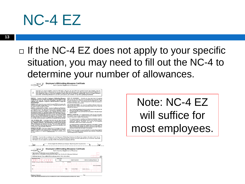#### NC-4 EZ

#### $\Box$  If the NC-4 EZ does not apply to your specific situation, you may need to fill out the NC-4 to determine your number of allowances.



Employee's Withholding Allowance Certificate

important You must complete a new Form IVC-1E or NC-4 for tax yar 2014. As a neath of newent law shanges, how you<br>determine the number of allowances for tax year 2014 will differ from persions years. Most taxpayers will no  $\triangle$ 

PIRROSE. Complex Form NCA. Employer's Wolbhold Markets. HEAD OF HOUSENOUD. - Generaly prompt doin has of housebut<br>Complex to the your party from the projection of Markets. Head on you be returned if you be used and operate

FORM NC-4 EZ - A new form was created for tax year 2014 for taxpayers who intend to claim either, exempt status, or the N.C. standard deduction and no<br>tax oredits or only the credit for children.

tax overlo er only the credit for children. Complete the Allowance Worksheet.<br>
In CRM NC-4 BASIC INSTRUCTIONS - Complete the Allowance Worksheet.<br>
27. Allows a control of the Northern Hamilton and the symphonic Complete i

TWO OR MORE JOBS - If you have more than one job, figure the solal property of the state of the state with the state of the state with the state and all allowance are canned on the NC-4 filed for the higher paying job whe

NONWAGE INCOME - If you have a large amount of nonwage income, such as interest or dividends, you should consider using estimates using Form NC-40 to avoid underpayments of estimated tax interest. Form using Form NC-40 to

the same as for feriental tax numbers

QUALIFYING WIDOW(ER) - You may claim qualifying widow(er) status only<br>if your spouse died in either of the two preoeding tax years and you meet the<br>following requirements:

1. Your home is maintained as the main household of a child or stepchild for<br>whom you can claim a federal exemption; and<br>2. You were entitled to file a joint return with your spouse in the year of your<br>spouse's death.

MARRIED TAXPAYERS - For married taxpayers, both spouses must agree<br>as to whether they will each complete the Allowance Worksheet based on<br>married filing jointly or married filing separately.

- For married taxpayers completing the Allowance Worksheet based on<br>married filing jointly, you will consider the sum of both spouses incomes,<br>adjustments, additions, deductions, and credits on the Allowance<br>Worksheet to d

For married taxpayers completing the worksheet on the basis of married<br>filing separately, each spouse will consider only his or her portion of<br>income, adjustments, additions, deductions, and credits on the Allowance<br>Worksh

All NC-4 forms are subject to review by the North Carolina Department of<br>Revenue. Your employer may be required to send this form to the North<br>Carolina Department of Revenue.

Country (if not U.S.)

CAUTION: If you furnish an employer with an Employee's Withholding Allowance Certificate that contains information which has no reasonable basis and results in a lesser amount of tax being withheld than would have been withheld had you furnished reasonable information, you are subject to a penalty of 50% of the amount not properly withheld.

|                                                                                                                                                               |                          | Cut here and give this certificate to your employer. Keep the top portion for your records. |                                 |
|---------------------------------------------------------------------------------------------------------------------------------------------------------------|--------------------------|---------------------------------------------------------------------------------------------|---------------------------------|
| $NC-4$<br>$11 - 13$                                                                                                                                           |                          | <b>Employee's Withholding Allowance Certificate</b><br>North Carolina Department of Revenue |                                 |
| 1. Total number of allowances you are claiming for 2014<br>(Enter zero (0), or the number of allowances from Page 2, line 16 of the NC-4 Allowance Worksheet) |                          |                                                                                             |                                 |
| 2. Additional amount, if any, withheld from each pay period (Enter whole dollars)                                                                             |                          |                                                                                             | ω٥.                             |
| Social Security Number<br>۰<br>-                                                                                                                              | Aartisi Status<br>Single | Head of Household                                                                           | Married or Qualifying Widowier? |
| First Name, Aric CAPITAL LETTERS FOR YOUR NAME AND ACCREDIE                                                                                                   | M.L                      | Last Name                                                                                   |                                 |
|                                                                                                                                                               |                          |                                                                                             |                                 |
| Address                                                                                                                                                       |                          |                                                                                             | Courty streeted for agent       |

Zip Code (6 Digit)

Employee's Signature<br>I certify, under penalties provided by law, that I am entitied to the number of withholding allowances claimed on line 1 above.

Note: NC-4 EZ will suffice for most employees.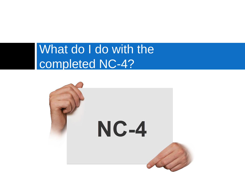#### What do I do with the completed NC-4?

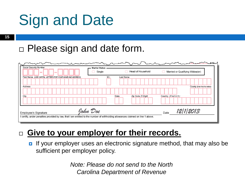## Sign and Date

**15**

#### □ Please sign and date form.

| Social Security Number<br><b>College</b>                                                                                        | <b>Marital Status</b><br>Single |           | Head of Household  | Married or Qualifying Widow(er) |                                   |
|---------------------------------------------------------------------------------------------------------------------------------|---------------------------------|-----------|--------------------|---------------------------------|-----------------------------------|
| First Name (USE CAPITAL LETTERS FOR YOUR NAME AND ADDRESS)                                                                      | M.I.                            | Last Name |                    |                                 |                                   |
|                                                                                                                                 |                                 |           |                    |                                 |                                   |
| Address                                                                                                                         |                                 |           |                    |                                 | County (Enter first five letters) |
|                                                                                                                                 |                                 |           |                    |                                 |                                   |
| City                                                                                                                            |                                 | State     | Zip Code (5 Digit) | Country (If not U.S.)           |                                   |
|                                                                                                                                 |                                 |           |                    |                                 |                                   |
| Employee's Signature                                                                                                            | John Doe                        |           |                    | 12/1/2013<br>Date               |                                   |
| I certify, under penalties provided by law, that I am entitled to the number of withholding allowances claimed on line 1 above. |                                 |           |                    |                                 |                                   |

#### **Give to your employer for their records.**

If your employer uses an electronic signature method, that may also be sufficient per employer policy.

> *Note: Please do not send to the North Carolina Department of Revenue*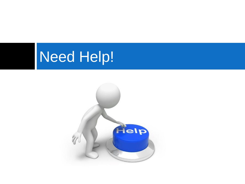